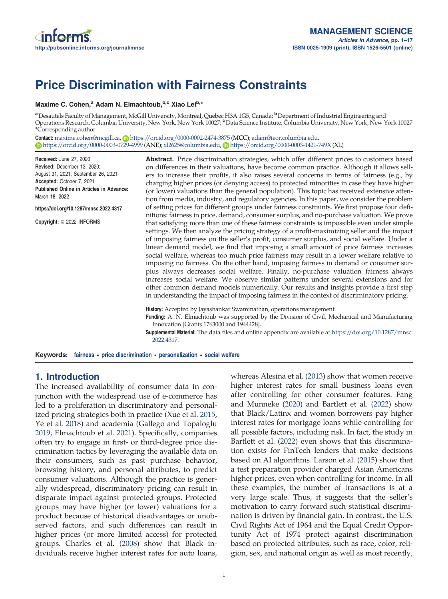# Price Discrimination with Fairness Constraints

#### Maxime C. Cohen,<sup>a</sup> Adam N. Elmachtoub,<sup>b,c</sup> Xiao Lei<sup>b,\*</sup>

a Desautels Faculty of Management, McGill University, Montreal, Quebec H3A 1G5, Canada; <sup>b</sup> Department of Industrial Engineering and Operations Research, Columbia University, New York, New York 10027; <sup>c</sup>Data Science Institute, Columbia University, New York, New York 10027 \*Corresponding author

Contact: maxime.cohen@mcgill.ca, Dhttps://orcid.org/0000-0002-2474-3875 (MCC); adam@ieor.columbia.edu, **b** https://orcid.org/0000-0003-0729-4999 (ANE); xl2625@columbia.edu, **b** https://orcid.org/0000-0003-1421-749X (XL)

Received: June 27, 2020<br>Revised: December 13, 2020: August 31, 2021; September 26, 2021 Accepted: October 7, 2021<br>**Accepted: October 7, 2021** Published Online in Articles in Advance: March 18, 2022

https://doi.org/10.1287/mnsc.2022.4317

Copyright: © 2022 INFORMS

Abstract. Price discrimination strategies, which offer different prices to customers based on differences in their valuations, have become common practice. Although it allows sellers to increase their profits, it also raises several concerns in terms of fairness (e.g., by charging higher prices (or denying access) to protected minorities in case they have higher (or lower) valuations than the general population). This topic has received extensive attention from media, industry, and regulatory agencies. In this paper, we consider the problem of setting prices for different groups under fairness constraints. We first propose four definitions: fairness in price, demand, consumer surplus, and no-purchase valuation. We prove that satisfying more than one of these fairness constraints is impossible even under simple settings. We then analyze the pricing strategy of a profit-maximizing seller and the impact of imposing fairness on the seller's profit, consumer surplus, and social welfare. Under a linear demand model, we find that imposing a small amount of price fairness increases social welfare, whereas too much price fairness may result in a lower welfare relative to imposing no fairness. On the other hand, imposing fairness in demand or consumer surplus always decreases social welfare. Finally, no-purchase valuation fairness always increases social welfare. We observe similar patterns under several extensions and for other common demand models numerically. Our results and insights provide a first step in understanding the impact of imposing fairness in the context of discriminatory pricing.

History: Accepted by Jayashankar Swaminathan, operations management.

Funding: A. N. Elmachtoub was supported by the Division of Civil, Mechanical and Manufacturing Innovation [Grants 1763000 and 1944428].

Supplemental Material: The data files and online appendix are available at https://doi.org/10.1287/mnsc. 2022.4317.

Keywords: fairness • price discrimination • personalization • social welfare

# 1. Introduction

The increased availability of consumer data in conjunction with the widespread use of e-commerce has led to a proliferation in discriminatory and personalized pricing strategies both in practice (Xue et al. 2015, Ye et al. 2018) and academia (Gallego and Topaloglu 2019, Elmachtoub et al. 2021). Specifically, companies often try to engage in first- or third-degree price discrimination tactics by leveraging the available data on their consumers, such as past purchase behavior, browsing history, and personal attributes, to predict consumer valuations. Although the practice is generally widespread, discriminatory pricing can result in disparate impact against protected groups. Protected groups may have higher (or lower) valuations for a product because of historical disadvantages or unobserved factors, and such differences can result in higher prices (or more limited access) for protected groups. Charles et al. (2008) show that Black individuals receive higher interest rates for auto loans,

whereas Alesina et al. (2013) show that women receive higher interest rates for small business loans even after controlling for other consumer features. Fang and Munneke (2020) and Bartlett et al. (2022) show that Black/Latinx and women borrowers pay higher interest rates for mortgage loans while controlling for all possible factors, including risk. In fact, the study in Bartlett et al. (2022) even shows that this discrimination exists for FinTech lenders that make decisions based on AI algorithms. Larson et al. (2015) show that a test preparation provider charged Asian Americans higher prices, even when controlling for income. In all these examples, the number of transactions is at a very large scale. Thus, it suggests that the seller's motivation to carry forward such statistical discrimination is driven by financial gain. In contrast, the U.S. Civil Rights Act of 1964 and the Equal Credit Opportunity Act of 1974 protect against discrimination based on protected attributes, such as race, color, religion, sex, and national origin as well as most recently,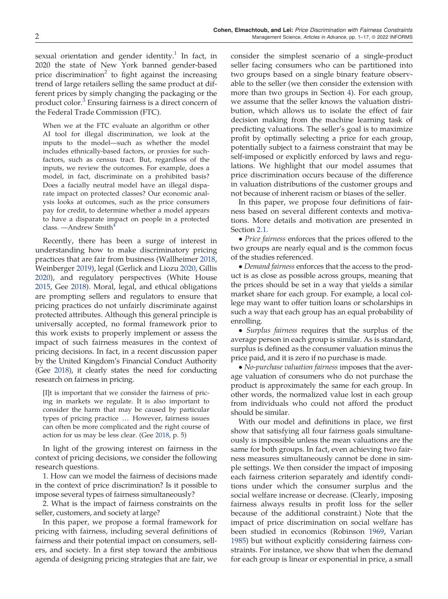sexual orientation and gender identity.<sup>1</sup> In fact, in 2020 the state of New York banned gender-based price discrimination<sup>2</sup> to fight against the increasing trend of large retailers selling the same product at different prices by simply changing the packaging or the product color.<sup>3</sup> Ensuring fairness is a direct concern of the Federal Trade Commission (FTC).

When we at the FTC evaluate an algorithm or other AI tool for illegal discrimination, we look at the inputs to the model—such as whether the model includes ethnically-based factors, or proxies for suchfactors, such as census tract. But, regardless of the inputs, we review the outcomes. For example, does a model, in fact, discriminate on a prohibited basis? Does a facially neutral model have an illegal disparate impact on protected classes? Our economic analysis looks at outcomes, such as the price consumers pay for credit, to determine whether a model appears to have a disparate impact on people in a protected class. —Andrew Smith<sup>4</sup>

Recently, there has been a surge of interest in understanding how to make discriminatory pricing practices that are fair from business (Wallheimer 2018, Weinberger 2019), legal (Gerlick and Liozu 2020, Gillis 2020), and regulatory perspectives (White House 2015, Gee 2018). Moral, legal, and ethical obligations are prompting sellers and regulators to ensure that pricing practices do not unfairly discriminate against protected attributes. Although this general principle is universally accepted, no formal framework prior to this work exists to properly implement or assess the impact of such fairness measures in the context of pricing decisions. In fact, in a recent discussion paper by the United Kingdom's Financial Conduct Authority (Gee 2018), it clearly states the need for conducting research on fairness in pricing.

[I]t is important that we consider the fairness of pricing in markets we regulate. It is also important to consider the harm that may be caused by particular types of pricing practice … However, fairness issues can often be more complicated and the right course of action for us may be less clear. (Gee 2018, p. 5)

In light of the growing interest on fairness in the context of pricing decisions, we consider the following research questions.

1. How can we model the fairness of decisions made in the context of price discrimination? Is it possible to impose several types of fairness simultaneously?

2. What is the impact of fairness constraints on the seller, customers, and society at large?

In this paper, we propose a formal framework for pricing with fairness, including several definitions of fairness and their potential impact on consumers, sellers, and society. In a first step toward the ambitious agenda of designing pricing strategies that are fair, we consider the simplest scenario of a single-product seller facing consumers who can be partitioned into two groups based on a single binary feature observable to the seller (we then consider the extension with more than two groups in Section 4). For each group, we assume that the seller knows the valuation distribution, which allows us to isolate the effect of fair decision making from the machine learning task of predicting valuations. The seller's goal is to maximize profit by optimally selecting a price for each group, potentially subject to a fairness constraint that may be self-imposed or explicitly enforced by laws and regulations. We highlight that our model assumes that price discrimination occurs because of the difference in valuation distributions of the customer groups and not because of inherent racism or biases of the seller.

In this paper, we propose four definitions of fairness based on several different contexts and motivations. More details and motivation are presented in Section 2.1.

• *Price fairness* enforces that the prices offered to the two groups are nearly equal and is the common focus of the studies referenced.

• Demand fairness enforces that the access to the product is as close as possible across groups, meaning that the prices should be set in a way that yields a similar market share for each group. For example, a local college may want to offer tuition loans or scholarships in such a way that each group has an equal probability of enrolling.

• Surplus fairness requires that the surplus of the average person in each group is similar. As is standard, surplus is defined as the consumer valuation minus the price paid, and it is zero if no purchase is made.

• No-purchase valuation fairness imposes that the average valuation of consumers who do not purchase the product is approximately the same for each group. In other words, the normalized value lost in each group from individuals who could not afford the product should be similar.

With our model and definitions in place, we first show that satisfying all four fairness goals simultaneously is impossible unless the mean valuations are the same for both groups. In fact, even achieving two fairness measures simultaneously cannot be done in simple settings. We then consider the impact of imposing each fairness criterion separately and identify conditions under which the consumer surplus and the social welfare increase or decrease. (Clearly, imposing fairness always results in profit loss for the seller because of the additional constraint.) Note that the impact of price discrimination on social welfare has been studied in economics (Robinson 1969, Varian 1985) but without explicitly considering fairness constraints. For instance, we show that when the demand for each group is linear or exponential in price, a small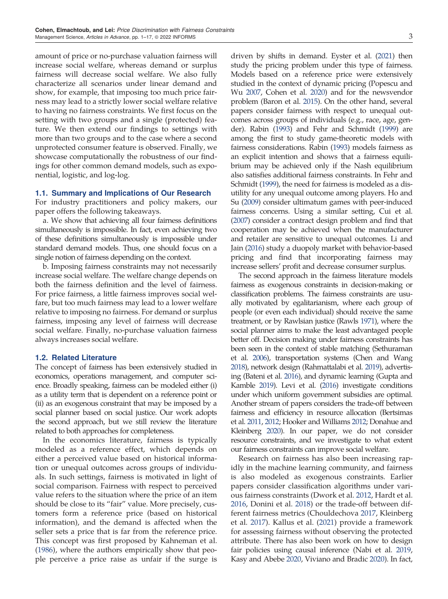amount of price or no-purchase valuation fairness will increase social welfare, whereas demand or surplus fairness will decrease social welfare. We also fully characterize all scenarios under linear demand and show, for example, that imposing too much price fairness may lead to a strictly lower social welfare relative to having no fairness constraints. We first focus on the setting with two groups and a single (protected) feature. We then extend our findings to settings with more than two groups and to the case where a second unprotected consumer feature is observed. Finally, we showcase computationally the robustness of our findings for other common demand models, such as exponential, logistic, and log-log.

#### 1.1. Summary and Implications of Our Research

For industry practitioners and policy makers, our paper offers the following takeaways.

a. We show that achieving all four fairness definitions simultaneously is impossible. In fact, even achieving two of these definitions simultaneously is impossible under standard demand models. Thus, one should focus on a single notion of fairness depending on the context.

b. Imposing fairness constraints may not necessarily increase social welfare. The welfare change depends on both the fairness definition and the level of fairness. For price fairness, a little fairness improves social welfare, but too much fairness may lead to a lower welfare relative to imposing no fairness. For demand or surplus fairness, imposing any level of fairness will decrease social welfare. Finally, no-purchase valuation fairness always increases social welfare.

# 1.2. Related Literature

The concept of fairness has been extensively studied in economics, operations management, and computer science. Broadly speaking, fairness can be modeled either (i) as a utility term that is dependent on a reference point or (ii) as an exogenous constraint that may be imposed by a social planner based on social justice. Our work adopts the second approach, but we still review the literature related to both approaches for completeness.

In the economics literature, fairness is typically modeled as a reference effect, which depends on either a perceived value based on historical information or unequal outcomes across groups of individuals. In such settings, fairness is motivated in light of social comparison. Fairness with respect to perceived value refers to the situation where the price of an item should be close to its "fair" value. More precisely, customers form a reference price (based on historical information), and the demand is affected when the seller sets a price that is far from the reference price. This concept was first proposed by Kahneman et al. (1986), where the authors empirically show that people perceive a price raise as unfair if the surge is

driven by shifts in demand. Eyster et al. (2021) then study the pricing problem under this type of fairness. Models based on a reference price were extensively studied in the context of dynamic pricing (Popescu and Wu 2007, Cohen et al. 2020) and for the newsvendor problem (Baron et al. 2015). On the other hand, several papers consider fairness with respect to unequal outcomes across groups of individuals (e.g., race, age, gender). Rabin (1993) and Fehr and Schmidt (1999) are among the first to study game-theoretic models with fairness considerations. Rabin (1993) models fairness as an explicit intention and shows that a fairness equilibrium may be achieved only if the Nash equilibrium also satisfies additional fairness constraints. In Fehr and Schmidt (1999), the need for fairness is modeled as a disutility for any unequal outcome among players. Ho and Su (2009) consider ultimatum games with peer-induced fairness concerns. Using a similar setting, Cui et al. (2007) consider a contract design problem and find that cooperation may be achieved when the manufacturer and retailer are sensitive to unequal outcomes. Li and Jain (2016) study a duopoly market with behavior-based pricing and find that incorporating fairness may increase sellers' profit and decrease consumer surplus.

The second approach in the fairness literature models fairness as exogenous constraints in decision-making or classification problems. The fairness constraints are usually motivated by egalitarianism, where each group of people (or even each individual) should receive the same treatment, or by Rawlsian justice (Rawls 1971), where the social planner aims to make the least advantaged people better off. Decision making under fairness constraints has been seen in the context of stable matching (Sethuraman et al. 2006), transportation systems (Chen and Wang 2018), network design (Rahmattalabi et al. 2019), advertising (Bateni et al. 2016), and dynamic learning (Gupta and Kamble 2019). Levi et al. (2016) investigate conditions under which uniform government subsidies are optimal. Another stream of papers considers the trade-off between fairness and efficiency in resource allocation (Bertsimas et al. 2011, 2012; Hooker and Williams 2012; Donahue and Kleinberg 2020). In our paper, we do not consider resource constraints, and we investigate to what extent our fairness constraints can improve social welfare.

Research on fairness has also been increasing rapidly in the machine learning community, and fairness is also modeled as exogenous constraints. Earlier papers consider classification algorithms under various fairness constraints (Dwork et al. 2012, Hardt et al. 2016, Donini et al. 2018) or the trade-off between different fairness metrics (Chouldechova 2017, Kleinberg et al. 2017). Kallus et al. (2021) provide a framework for assessing fairness without observing the protected attribute. There has also been work on how to design fair policies using causal inference (Nabi et al. 2019, Kasy and Abebe 2020, Viviano and Bradic 2020). In fact,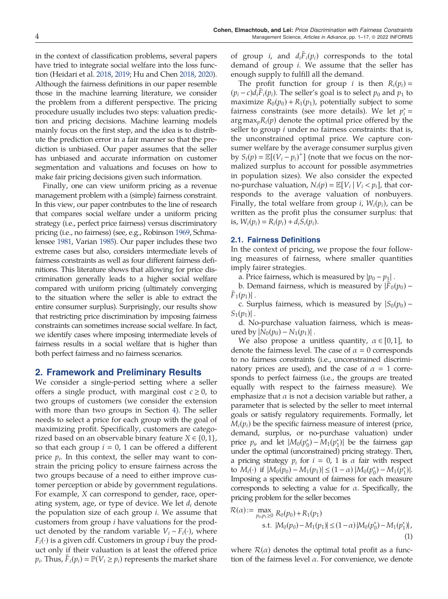in the context of classification problems, several papers have tried to integrate social welfare into the loss function (Heidari et al. 2018, 2019; Hu and Chen 2018, 2020). Although the fairness definitions in our paper resemble those in the machine learning literature, we consider the problem from a different perspective. The pricing procedure usually includes two steps: valuation prediction and pricing decisions. Machine learning models mainly focus on the first step, and the idea is to distribute the prediction error in a fair manner so that the prediction is unbiased. Our paper assumes that the seller has unbiased and accurate information on customer segmentation and valuations and focuses on how to make fair pricing decisions given such information.

Finally, one can view uniform pricing as a revenue management problem with a (simple) fairness constraint. In this view, our paper contributes to the line of research that compares social welfare under a uniform pricing strategy (i.e., perfect price fairness) versus discriminatory pricing (i.e., no fairness) (see, e.g., Robinson 1969, Schmalensee 1981, Varian 1985). Our paper includes these two extreme cases but also, considers intermediate levels of fairness constraints as well as four different fairness definitions. This literature shows that allowing for price discrimination generally leads to a higher social welfare compared with uniform pricing (ultimately converging to the situation where the seller is able to extract the entire consumer surplus). Surprisingly, our results show that restricting price discrimination by imposing fairness constraints can sometimes increase social welfare. In fact, we identify cases where imposing intermediate levels of fairness results in a social welfare that is higher than both perfect fairness and no fairness scenarios.

## 2. Framework and Preliminary Results

We consider a single-period setting where a seller offers a single product, with marginal cost  $c \ge 0$ , to two groups of customers (we consider the extension with more than two groups in Section 4). The seller needs to select a price for each group with the goal of maximizing profit. Specifically, customers are categorized based on an observable binary feature  $X \in \{0, 1\}$ , so that each group  $i = 0$ , 1 can be offered a different price  $p_i$ . In this context, the seller may want to constrain the pricing policy to ensure fairness across the two groups because of a need to either improve customer perception or abide by government regulations. For example, X can correspond to gender, race, operating system, age, or type of device. We let  $d_i$  denote the population size of each group i. We assume that customers from group i have valuations for the product denoted by the random variable  $V_i \sim F_i(\cdot)$ , where  $F_i(\cdot)$  is a given cdf. Customers in group *i* buy the product only if their valuation is at least the offered price  $p_i$ . Thus,  $F_i(p_i) = \mathbb{P}(V_i \geq p_i)$  represents the market share

of group *i*, and  $d_iF_i(p_i)$  corresponds to the total demand of group i. We assume that the seller has enough supply to fulfill all the demand.

The profit function for group *i* is then  $R_i(p_i)$  =  $(p_i - c)d_iF_i(p_i)$ . The seller's goal is to select  $p_0$  and  $p_1$  to maximize  $R_0(p_0) + R_1(p_1)$ , potentially subject to some fairness constraints (see more details). We let  $p_i^* =$ argmax<sub>p</sub> $R_i(p)$  denote the optimal price offered by the seller to group *i* under no fairness constraints: that is, the unconstrained optimal price. We capture consumer welfare by the average consumer surplus given by  $S_i(p) = \mathbb{E}[(V_i - p_i)^+]$  (note that we focus on the normalized surplus to account for possible asymmetries in population sizes). We also consider the expected no-purchase valuation,  $N_i(p) = \mathbb{E}[V_i | V_i < p_i]$ , that corresponds to the average valuation of nonbuyers. Finally, the total welfare from group *i*,  $W_i(p_i)$ , can be written as the profit plus the consumer surplus: that is,  $W_i(p_i) = R_i(p_i) + d_i S_i(p_i)$ .

#### 2.1. Fairness Definitions

In the context of pricing, we propose the four following measures of fairness, where smaller quantities imply fairer strategies.

a. Price fairness, which is measured by  $|p_0 - p_1|$ .

b. Demand fairness, which is measured by  $|F_0(p_0) F_1(p_1)|$ .

c. Surplus fairness, which is measured by  $|S_0(p_0) S_1(p_1)$ .

d. No-purchase valuation fairness, which is measured by  $|N_0(p_0) - N_1(p_1)|$ .

We also propose a unitless quantity,  $\alpha \in [0,1]$ , to denote the fairness level. The case of  $\alpha = 0$  corresponds to no fairness constraints (i.e., unconstrained discriminatory prices are used), and the case of  $\alpha = 1$  corresponds to perfect fairness (i.e., the groups are treated equally with respect to the fairness measure). We emphasize that  $\alpha$  is not a decision variable but rather, a parameter that is selected by the seller to meet internal goals or satisfy regulatory requirements. Formally, let  $M_i(p_i)$  be the specific fairness measure of interest (price, demand, surplus, or no-purchase valuation) under price  $p_i$ , and let  $|M_0(p_0^*) - M_1(p_1^*)|$  be the fairness gap under the optimal (unconstrained) pricing strategy. Then, a pricing strategy  $p_i$  for  $i = 0, 1$  is  $\alpha$  fair with respect to  $M_i(\cdot)$  if  $|M_0(p_0) - M_1(p_1)| \le (1 - \alpha) |M_0(p_0^*) - M_1(p_1^*)|$ . Imposing a specific amount of fairness for each measure corresponds to selecting a value for  $\alpha$ . Specifically, the pricing problem for the seller becomes

$$
\mathcal{R}(\alpha) := \max_{p_0, p_1 \ge 0} R_0(p_0) + R_1(p_1)
$$
  
s.t.  $|M_0(p_0) - M_1(p_1)| \le (1 - \alpha) |M_0(p_0^*) - M_1(p_1^*)|,$   
(1)

where  $\mathcal{R}(\alpha)$  denotes the optimal total profit as a function of the fairness level  $\alpha$ . For convenience, we denote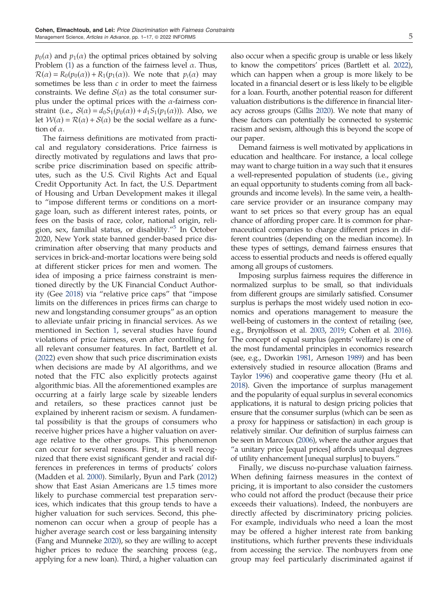$p_0(\alpha)$  and  $p_1(\alpha)$  the optimal prices obtained by solving Problem (1) as a function of the fairness level  $\alpha$ . Thus,  $\mathcal{R}(\alpha) = R_0(p_0(\alpha)) + R_1(p_1(\alpha))$ . We note that  $p_i(\alpha)$  may sometimes be less than  $c$  in order to meet the fairness constraints. We define  $S(\alpha)$  as the total consumer surplus under the optimal prices with the  $\alpha$ -fairness constraint (i.e.,  $S(\alpha) = d_0S_1(p_0(\alpha)) + d_1S_1(p_1(\alpha))$ ). Also, we let  $W(\alpha) = R(\alpha) + S(\alpha)$  be the social welfare as a function of  $\alpha$ .

The fairness definitions are motivated from practical and regulatory considerations. Price fairness is directly motivated by regulations and laws that proscribe price discrimination based on specific attributes, such as the U.S. Civil Rights Act and Equal Credit Opportunity Act. In fact, the U.S. Department of Housing and Urban Development makes it illegal to "impose different terms or conditions on a mortgage loan, such as different interest rates, points, or fees on the basis of race, color, national origin, religion, sex, familial status, or disability."<sup>5</sup> In October 2020, New York state banned gender-based price discrimination after observing that many products and services in brick-and-mortar locations were being sold at different sticker prices for men and women. The idea of imposing a price fairness constraint is mentioned directly by the UK Financial Conduct Authority (Gee 2018) via "relative price caps" that "impose limits on the differences in prices firms can charge to new and longstanding consumer groups" as an option to alleviate unfair pricing in financial services. As we mentioned in Section 1, several studies have found violations of price fairness, even after controlling for all relevant consumer features. In fact, Bartlett et al. (2022) even show that such price discrimination exists when decisions are made by AI algorithms, and we noted that the FTC also explicitly protects against algorithmic bias. All the aforementioned examples are occurring at a fairly large scale by sizeable lenders and retailers, so these practices cannot just be explained by inherent racism or sexism. A fundamental possibility is that the groups of consumers who receive higher prices have a higher valuation on average relative to the other groups. This phenomenon can occur for several reasons. First, it is well recognized that there exist significant gender and racial differences in preferences in terms of products' colors (Madden et al. 2000). Similarly, Byun and Park (2012) show that East Asian Americans are 1.5 times more likely to purchase commercial test preparation services, which indicates that this group tends to have a higher valuation for such services. Second, this phenomenon can occur when a group of people has a higher average search cost or less bargaining intensity (Fang and Munneke 2020), so they are willing to accept higher prices to reduce the searching process (e.g., applying for a new loan). Third, a higher valuation can also occur when a specific group is unable or less likely to know the competitors' prices (Bartlett et al. 2022), which can happen when a group is more likely to be located in a financial desert or is less likely to be eligible for a loan. Fourth, another potential reason for different valuation distributions is the difference in financial literacy across groups (Gillis 2020). We note that many of these factors can potentially be connected to systemic racism and sexism, although this is beyond the scope of our paper.

Demand fairness is well motivated by applications in education and healthcare. For instance, a local college may want to charge tuition in a way such that it ensures a well-represented population of students (i.e., giving an equal opportunity to students coming from all backgrounds and income levels). In the same vein, a healthcare service provider or an insurance company may want to set prices so that every group has an equal chance of affording proper care. It is common for pharmaceutical companies to charge different prices in different countries (depending on the median income). In these types of settings, demand fairness ensures that access to essential products and needs is offered equally among all groups of customers.

Imposing surplus fairness requires the difference in normalized surplus to be small, so that individuals from different groups are similarly satisfied. Consumer surplus is perhaps the most widely used notion in economics and operations management to measure the well-being of customers in the context of retailing (see, e.g., Brynjolfsson et al. 2003, 2019; Cohen et al. 2016). The concept of equal surplus (agents' welfare) is one of the most fundamental principles in economics research (see, e.g., Dworkin 1981, Arneson 1989) and has been extensively studied in resource allocation (Brams and Taylor 1996) and cooperative game theory (Hu et al. 2018). Given the importance of surplus management and the popularity of equal surplus in several economics applications, it is natural to design pricing policies that ensure that the consumer surplus (which can be seen as a proxy for happiness or satisfaction) in each group is relatively similar. Our definition of surplus fairness can be seen in Marcoux (2006), where the author argues that "a unitary price [equal prices] affords unequal degrees of utility enhancement [unequal surplus] to buyers."

Finally, we discuss no-purchase valuation fairness. When defining fairness measures in the context of pricing, it is important to also consider the customers who could not afford the product (because their price exceeds their valuations). Indeed, the nonbuyers are directly affected by discriminatory pricing policies. For example, individuals who need a loan the most may be offered a higher interest rate from banking institutions, which further prevents these individuals from accessing the service. The nonbuyers from one group may feel particularly discriminated against if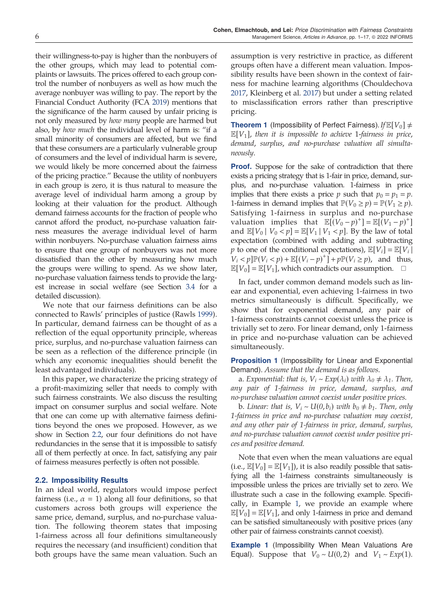their willingness-to-pay is higher than the nonbuyers of the other groups, which may lead to potential complaints or lawsuits. The prices offered to each group control the number of nonbuyers as well as how much the average nonbuyer was willing to pay. The report by the Financial Conduct Authority (FCA 2019) mentions that the significance of the harm caused by unfair pricing is not only measured by *how many* people are harmed but also, by how much the individual level of harm is: "if a small minority of consumers are affected, but we find that these consumers are a particularly vulnerable group of consumers and the level of individual harm is severe, we would likely be more concerned about the fairness of the pricing practice." Because the utility of nonbuyers in each group is zero, it is thus natural to measure the average level of individual harm among a group by looking at their valuation for the product. Although demand fairness accounts for the fraction of people who cannot afford the product, no-purchase valuation fairness measures the average individual level of harm within nonbuyers. No-purchase valuation fairness aims to ensure that one group of nonbuyers was not more dissatisfied than the other by measuring how much the groups were willing to spend. As we show later, no-purchase valuation fairness tends to provide the largest increase in social welfare (see Section 3.4 for a detailed discussion).

We note that our fairness definitions can be also connected to Rawls' principles of justice (Rawls 1999). In particular, demand fairness can be thought of as a reflection of the equal opportunity principle, whereas price, surplus, and no-purchase valuation fairness can be seen as a reflection of the difference principle (in which any economic inequalities should benefit the least advantaged individuals).

In this paper, we characterize the pricing strategy of a profit-maximizing seller that needs to comply with such fairness constraints. We also discuss the resulting impact on consumer surplus and social welfare. Note that one can come up with alternative fairness definitions beyond the ones we proposed. However, as we show in Section 2.2, our four definitions do not have redundancies in the sense that it is impossible to satisfy all of them perfectly at once. In fact, satisfying any pair of fairness measures perfectly is often not possible.

## 2.2. Impossibility Results

In an ideal world, regulators would impose perfect fairness (i.e.,  $\alpha = 1$ ) along all four definitions, so that customers across both groups will experience the same price, demand, surplus, and no-purchase valuation. The following theorem states that imposing 1-fairness across all four definitions simultaneously requires the necessary (and insufficient) condition that both groups have the same mean valuation. Such an

assumption is very restrictive in practice, as different groups often have a different mean valuation. Impossibility results have been shown in the context of fairness for machine learning algorithms (Chouldechova 2017, Kleinberg et al. 2017) but under a setting related to misclassification errors rather than prescriptive pricing.

**Theorem 1** (Impossibility of Perfect Fairness). If  $\mathbb{E}[V_0] \neq$  $\mathbb{E}[V_1]$ , then it is impossible to achieve 1-fairness in price, demand, surplus, and no-purchase valuation all simultaneously.

**Proof.** Suppose for the sake of contradiction that there exists a pricing strategy that is 1-fair in price, demand, surplus, and no-purchase valuation. 1-fairness in price implies that there exists a price *p* such that  $p_0 = p_1 = p$ . 1-fairness in demand implies that  $\mathbb{P}(V_0 \ge p) = \mathbb{P}(V_1 \ge p)$ . Satisfying 1-fairness in surplus and no-purchase valuation implies that  $\mathbb{E}[(V_0 - p)^+] = \mathbb{E}[(V_1 - p)^+]$ and  $\mathbb{E}[V_0 | V_0 < p] = \mathbb{E}[V_1 | V_1 < p]$ . By the law of total expectation (combined with adding and subtracting *p* to one of the conditional expectations),  $\mathbb{E}[V_i] = \mathbb{E}[V_i]$  $[V_i < p] \mathbb{P}(V_i < p) + \mathbb{E}[(V_i - p)^+] + p \mathbb{P}(V_i \ge p)$ , and thus,  $\mathbb{E}[V_0] = \mathbb{E}[V_1]$ , which contradicts our assumption.  $\Box$ 

In fact, under common demand models such as linear and exponential, even achieving 1-fairness in two metrics simultaneously is difficult. Specifically, we show that for exponential demand, any pair of 1-fairness constraints cannot coexist unless the price is trivially set to zero. For linear demand, only 1-fairness in price and no-purchase valuation can be achieved simultaneously.

**Proposition 1** (Impossibility for Linear and Exponential Demand). Assume that the demand is as follows.

a. Exponential: that is,  $V_i \sim Exp(\lambda_i)$  with  $\lambda_0 \neq \lambda_1$ . Then, any pair of 1-fairness in price, demand, surplus, and no-purchase valuation cannot coexist under positive prices.

b. Linear: that is,  $V_i \sim U(0, b_i)$  with  $b_0 \neq b_1$ . Then, only 1-fairness in price and no-purchase valuation may coexist, and any other pair of 1-fairness in price, demand, surplus, and no-purchase valuation cannot coexist under positive prices and positive demand.

Note that even when the mean valuations are equal (i.e.,  $\mathbb{E}[V_0] = \mathbb{E}[V_1]$ ), it is also readily possible that satisfying all the 1-fairness constraints simultaneously is impossible unless the prices are trivially set to zero. We illustrate such a case in the following example. Specifically, in Example 1, we provide an example where  $\mathbb{E}[V_0] = \mathbb{E}[V_1]$ , and only 1-fairness in price and demand can be satisfied simultaneously with positive prices (any other pair of fairness constraints cannot coexist).

**Example 1** (Impossibility When Mean Valuations Are Equal). Suppose that  $V_0 \sim U(0, 2)$  and  $V_1 \sim Exp(1)$ .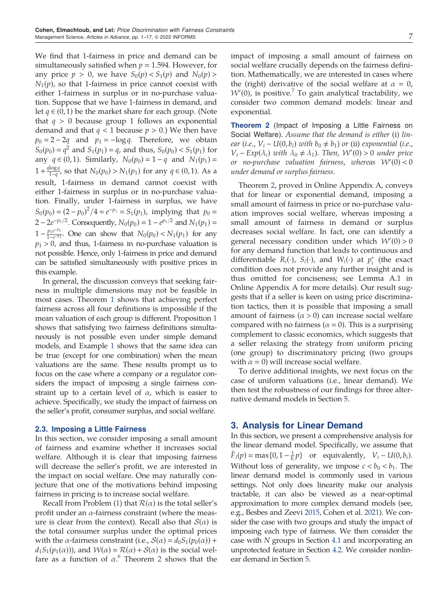We find that 1-fairness in price and demand can be simultaneously satisfied when  $p = 1.594$ . However, for any price  $p > 0$ , we have  $S_0(p) < S_1(p)$  and  $N_0(p) >$  $N_1(p)$ , so that 1-fairness in price cannot coexist with either 1-fairness in surplus or in no-purchase valuation. Suppose that we have 1-fairness in demand, and let  $q$  ∈ (0, 1) be the market share for each group. (Note that  $q > 0$  because group 1 follows an exponential demand and that  $q < 1$  because  $p > 0$ .) We then have  $p_0 = 2 - 2q$  and  $p_1 = -\log q$ . Therefore, we obtain  $S_0(p_0) = q^2$  and  $S_1(p_1) = q$ , and thus,  $S_0(p_0) < S_1(p_1)$  for any *q* ∈ (0, 1). Similarly,  $N_0(p_0) = 1 - q$  and  $N_1(p_1) =$  $1 + \frac{q \log q}{1 - q}$ , so that  $N_0(p_0) > N_1(p_1)$  for any  $q \in (0, 1)$ . As a result, 1-fairness in demand cannot coexist with either 1-fairness in surplus or in no-purchase valuation. Finally, under 1-fairness in surplus, we have  $S_0(p_0) = (2 - p_0)^2/4 = e^{-p_1} = S_1(p_1)$ , implying that  $p_0 =$  $2 - 2e^{-p_1/2}$ . Consequently,  $N_0(p_0) = 1 - e^{p_1/2}$  and  $N_1(p_1) =$  $1 - \frac{p_1 e^{-p_1}}{1 - e^{-p_1}}$ . One can show that  $N_0(p_0) < N_1(p_1)$  for any  $p_1 > 0$ , and thus, 1-fairness in no-purchase valuation is not possible. Hence, only 1-fairness in price and demand can be satisfied simultaneously with positive prices in this example.

In general, the discussion conveys that seeking fairness in multiple dimensions may not be feasible in most cases. Theorem 1 shows that achieving perfect fairness across all four definitions is impossible if the mean valuation of each group is different. Proposition 1 shows that satisfying two fairness definitions simultaneously is not possible even under simple demand models, and Example 1 shows that the same idea can be true (except for one combination) when the mean valuations are the same. These results prompt us to focus on the case where a company or a regulator considers the impact of imposing a single fairness constraint up to a certain level of  $\alpha$ , which is easier to achieve. Specifically, we study the impact of fairness on the seller's profit, consumer surplus, and social welfare.

## 2.3. Imposing a Little Fairness

In this section, we consider imposing a small amount of fairness and examine whether it increases social welfare. Although it is clear that imposing fairness will decrease the seller's profit, we are interested in the impact on social welfare. One may naturally conjecture that one of the motivations behind imposing fairness in pricing is to increase social welfare.

Recall from Problem (1) that  $\mathcal{R}(\alpha)$  is the total seller's profit under an  $\alpha$ -fairness constraint (where the measure is clear from the context). Recall also that  $S(\alpha)$  is the total consumer surplus under the optimal prices with the  $\alpha$ -fairness constraint (i.e.,  $\mathcal{S}(\alpha) = d_0S_1(p_0(\alpha))$  +  $d_1S_1(p_1(\alpha))$ , and  $W(\alpha) = \mathcal{R}(\alpha) + \mathcal{S}(\alpha)$  is the social welfare as a function of  $\alpha$ .<sup>6</sup> Theorem 2 shows that the

impact of imposing a small amount of fairness on social welfare crucially depends on the fairness definition. Mathematically, we are interested in cases where the (right) derivative of the social welfare at  $\alpha = 0$ ,  $W(0)$ , is positive.<sup>7</sup> To gain analytical tractability, we consider two common demand models: linear and exponential.

**Theorem 2** (Impact of Imposing a Little Fairness on Social Welfare). Assume that the demand is either (i) linear (i.e.,  $V_i \sim U(0, b_i)$  with  $b_0 \neq b_1$ ) or (ii) exponential (i.e.,  $V_i \sim Exp(\lambda_i)$  with  $\lambda_0 \neq \lambda_1$ ). Then,  $\mathcal{W}'(0) > 0$  under price or no-purchase valuation fairness, whereas W (0) < 0 under demand or surplus fairness.

Theorem 2, proved in Online Appendix A, conveys that for linear or exponential demand, imposing a small amount of fairness in price or no-purchase valuation improves social welfare, whereas imposing a small amount of fairness in demand or surplus decreases social welfare. In fact, one can identify a general necessary condition under which  $W'(0) > 0$ for any demand function that leads to continuous and differentiable  $R_i(\cdot)$ ,  $S_i(\cdot)$ , and  $W_i(\cdot)$  at  $p_i^*$  (the exact condition does not provide any further insight and is thus omitted for conciseness; see Lemma A.1 in Online Appendix A for more details). Our result suggests that if a seller is keen on using price discrimination tactics, then it is possible that imposing a small amount of fairness  $(a > 0)$  can increase social welfare compared with no fairness ( $\alpha = 0$ ). This is a surprising complement to classic economics, which suggests that a seller relaxing the strategy from uniform pricing (one group) to discriminatory pricing (two groups with  $\alpha = 0$ ) will increase social welfare.

To derive additional insights, we next focus on the case of uniform valuations (i.e., linear demand). We then test the robustness of our findings for three alternative demand models in Section 5.

# 3. Analysis for Linear Demand

In this section, we present a comprehensive analysis for the linear demand model. Specifically, we assume that  $\bar{F}_i(p) = \max\{0, 1 - \frac{1}{b_i}p\}$  or equivalently,  $V_i \sim U(0, b_i)$ . Without loss of generality, we impose  $c < b_0 < b_1$ . The linear demand model is commonly used in various settings. Not only does linearity make our analysis tractable, it can also be viewed as a near-optimal approximation to more complex demand models (see, e.g., Besbes and Zeevi 2015, Cohen et al. 2021). We consider the case with two groups and study the impact of imposing each type of fairness. We then consider the case with N groups in Section 4.1 and incorporating an unprotected feature in Section 4.2. We consider nonlinear demand in Section 5.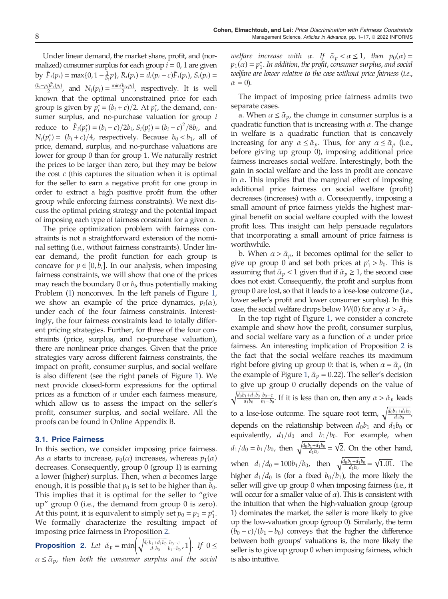Under linear demand, the market share, profit, and (normalized) consumer surplus for each group  $i = 0, 1$  are given by  $\bar{F}_i(p_i) = \max\{0, 1 - \frac{1}{b_i}p\}, R_i(p_i) = d_i(p_i - c)\bar{F}_i(p_i), S_i(p_i) =$  $\frac{(b_i-p_i)\bar{F}_i(p_i)}{2}$ , and  $N_i(p_i) = \frac{\min\{b_i, p_i\}}{2}$ , respectively. It is well known that the optimal unconstrained price for each group is given by  $p_i^* = (b_i + c)/2$ . At  $p_i^*$ , the demand, consumer surplus, and no-purchase valuation for group *i* reduce to  $\bar{F}_i(p_i^*) = (b_i - c)/2b_i$ ,  $S_i(p_i^*) = (b_i - c)^2/8b_i$ , and  $N_i(p_i^*) = (b_i + c)/4$ , respectively. Because  $b_0 < b_1$ , all of price, demand, surplus, and no-purchase valuations are lower for group 0 than for group 1. We naturally restrict the prices to be larger than zero, but they may be below the cost  $c$  (this captures the situation when it is optimal for the seller to earn a negative profit for one group in order to extract a high positive profit from the other group while enforcing fairness constraints). We next discuss the optimal pricing strategy and the potential impact of imposing each type of fairness constraint for a given  $\alpha$ .

The price optimization problem with fairness constraints is not a straightforward extension of the nominal setting (i.e., without fairness constraints). Under linear demand, the profit function for each group is concave for  $p \in [0, b_i]$ . In our analysis, when imposing fairness constraints, we will show that one of the prices may reach the boundary 0 or  $b_i$ , thus potentially making Problem (1) nonconvex. In the left panels of Figure 1, we show an example of the price dynamics,  $p_i(\alpha)$ , under each of the four fairness constraints. Interestingly, the four fairness constraints lead to totally different pricing strategies. Further, for three of the four constraints (price, surplus, and no-purchase valuation), there are nonlinear price changes. Given that the price strategies vary across different fairness constraints, the impact on profit, consumer surplus, and social welfare is also different (see the right panels of Figure 1). We next provide closed-form expressions for the optimal prices as a function of  $\alpha$  under each fairness measure, which allow us to assess the impact on the seller's profit, consumer surplus, and social welfare. All the proofs can be found in Online Appendix B.

#### 3.1. Price Fairness

In this section, we consider imposing price fairness. As  $\alpha$  starts to increase,  $p_0(\alpha)$  increases, whereas  $p_1(\alpha)$ decreases. Consequently, group 0 (group 1) is earning a lower (higher) surplus. Then, when  $\alpha$  becomes large enough, it is possible that  $p_0$  is set to be higher than  $b_0$ . This implies that it is optimal for the seller to "give up" group 0 (i.e., the demand from group 0 is zero). At this point, it is equivalent to simply set  $p_0 = p_1 = p_1^*$ . We formally characterize the resulting impact of imposing price fairness in Proposition 2.

**Proposition 2.** Let  $\tilde{\alpha}_p = \min\left(\sqrt{\frac{d_0b_1 + d_1b_0}{d_1b_0}} \frac{b_0 - c}{b_1 - b_0}, 1\right)$ . If  $0 \le$  $\alpha \leq \tilde{\alpha}_p$ , then both the consumer surplus and the social

welfare increase with  $\alpha$ . If  $\tilde{\alpha}_p < \alpha \leq 1$ , then  $p_0(\alpha) =$  $p_1(\alpha) = p_1^*$ . In addition, the profit, consumer surplus, and social welfare are lower relative to the case without price fairness (i.e.,  $\alpha = 0$ ).

The impact of imposing price fairness admits two separate cases.

a. When  $\alpha \leq \tilde{\alpha}_p$ , the change in consumer surplus is a quadratic function that is increasing with  $\alpha$ . The change in welfare is a quadratic function that is concavely increasing for any  $\alpha \leq \tilde{\alpha}_v$ . Thus, for any  $\alpha \leq \tilde{\alpha}_v$  (i.e., before giving up group 0), imposing additional price fairness increases social welfare. Interestingly, both the gain in social welfare and the loss in profit are concave in  $\alpha$ . This implies that the marginal effect of imposing additional price fairness on social welfare (profit) decreases (increases) with  $\alpha$ . Consequently, imposing a small amount of price fairness yields the highest marginal benefit on social welfare coupled with the lowest profit loss. This insight can help persuade regulators that incorporating a small amount of price fairness is worthwhile.

b. When  $\alpha > \tilde{\alpha}_p$ , it becomes optimal for the seller to give up group 0 and set both prices at  $p_1^* > b_0$ . This is assuming that  $\tilde{\alpha}_p < 1$  given that if  $\tilde{\alpha}_p \geq 1$ , the second case does not exist. Consequently, the profit and surplus from group 0 are lost, so that it leads to a lose-lose outcome (i.e., lower seller's profit and lower consumer surplus). In this case, the social welfare drops below  $W(0)$  for any  $\alpha > \tilde{\alpha}_p$ .

In the top right of Figure 1, we consider a concrete example and show how the profit, consumer surplus, and social welfare vary as a function of  $\alpha$  under price fairness. An interesting implication of Proposition 2 is the fact that the social welfare reaches its maximum right before giving up group 0: that is, when  $\alpha = \tilde{\alpha}_p$  (in the example of Figure 1,  $\tilde{\alpha}_p = 0.22$ ). The seller's decision to give up group 0 crucially depends on the value of  $\sqrt{\frac{d_0b_1+d_1b_0}{d_1b_0}}\frac{b_0-c}{b_1-b_0}$ . If it is less than on, then any  $\alpha > \tilde{\alpha}_p$  leads to a lose-lose outcome. The square root term,  $\sqrt{\frac{d_0b_1+d_1b_0}{d_1b_0}}$ , depends on the relationship between  $d_0b_1$  and  $d_1b_0$  or equivalently,  $d_1/d_0$  and  $b_1/b_0$ . For example, when  $d_1/d_0 = b_1/b_0$ , then  $\sqrt{\frac{d_0b_1+d_1b_0}{d_1b_0}} = \sqrt{2}$ . On the other hand, when  $d_1/d_0 = 100b_1/b_0$ , then  $\sqrt{\frac{d_0b_1+d_1b_0}{d_1b_0}} = \sqrt{1.01}$ . The higher  $d_1/d_0$  is (for a fixed  $b_0/b_1$ ), the more likely the seller will give up group 0 when imposing fairness (i.e., it will occur for a smaller value of  $\alpha$ ). This is consistent with the intuition that when the high-valuation group (group 1) dominates the market, the seller is more likely to give up the low-valuation group (group 0). Similarly, the term  $(b_0 - c)/(b_1 - b_0)$  conveys that the higher the difference between both groups' valuations is, the more likely the seller is to give up group 0 when imposing fairness, which is also intuitive.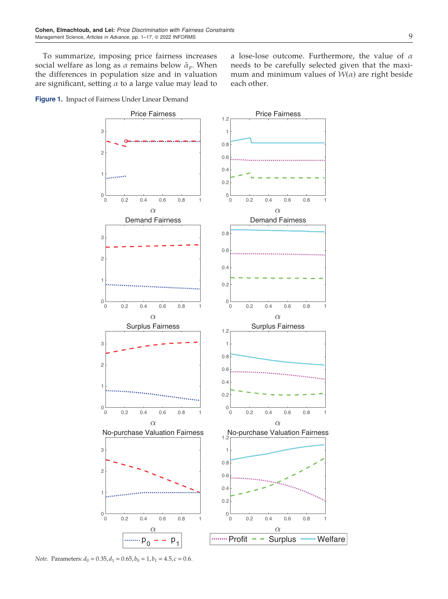To summarize, imposing price fairness increases social welfare as long as  $\alpha$  remains below  $\tilde{\alpha}_p$ . When the differences in population size and in valuation are significant, setting  $\alpha$  to a large value may lead to a lose-lose outcome. Furthermore, the value of  $\alpha$ needs to be carefully selected given that the maximum and minimum values of  $W(\alpha)$  are right beside each other.

Figure 1. Impact of Fairness Under Linear Demand



Note. Parameters:  $d_0 = 0.35$ ,  $d_1 = 0.65$ ,  $b_0 = 1$ ,  $b_1 = 4.5$ ,  $c = 0.6$ .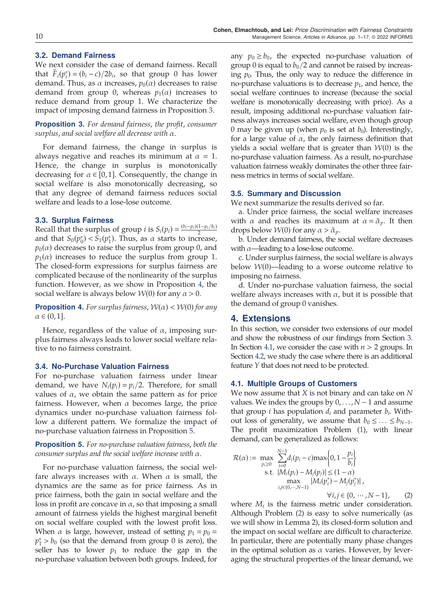# 3.2. Demand Fairness

We next consider the case of demand fairness. Recall that  $\bar{F}_i(p_i^*) = (b_i - c)/2b_i$ , so that group 0 has lower demand. Thus, as  $\alpha$  increases,  $p_0(\alpha)$  decreases to raise demand from group 0, whereas  $p_1(\alpha)$  increases to reduce demand from group 1. We characterize the impact of imposing demand fairness in Proposition 3.

**Proposition 3.** For demand fairness, the profit, consumer surplus, and social welfare all decrease with α.

For demand fairness, the change in surplus is always negative and reaches its minimum at  $\alpha = 1$ . Hence, the change in surplus is monotonically decreasing for  $\alpha \in [0,1]$ . Consequently, the change in social welfare is also monotonically decreasing, so that any degree of demand fairness reduces social welfare and leads to a lose-lose outcome.

# 3.3. Surplus Fairness

Recall that the surplus of group *i* is  $S_i(p_i) = \frac{(b_i - p_i)(1 - p_i/b_i)}{2}$ and that  $S_0(p_0^*) < S_1(p_1^*)$ . Thus, as  $\alpha$  starts to increase,  $p_0(\alpha)$  decreases to raise the surplus from group 0, and  $p_1(\alpha)$  increases to reduce the surplus from group 1. The closed-form expressions for surplus fairness are complicated because of the nonlinearity of the surplus function. However, as we show in Proposition 4, the social welfare is always below  $W(0)$  for any  $\alpha > 0$ .

**Proposition 4.** For surplus fairness,  $W(\alpha) < W(0)$  for any  $\alpha \in (0,1].$ 

Hence, regardless of the value of  $\alpha$ , imposing surplus fairness always leads to lower social welfare relative to no fairness constraint.

#### 3.4. No-Purchase Valuation Fairness

For no-purchase valuation fairness under linear demand, we have  $N_i(p_i) = p_i/2$ . Therefore, for small values of  $\alpha$ , we obtain the same pattern as for price fairness. However, when  $\alpha$  becomes large, the price dynamics under no-purchase valuation fairness follow a different pattern. We formalize the impact of no-purchase valuation fairness in Proposition 5.

Proposition 5. For no-purchase valuation fairness, both the consumer surplus and the social welfare increase with α.

For no-purchase valuation fairness, the social welfare always increases with  $\alpha$ . When  $\alpha$  is small, the dynamics are the same as for price fairness. As in price fairness, both the gain in social welfare and the loss in profit are concave in  $\alpha$ , so that imposing a small amount of fairness yields the highest marginal benefit on social welfare coupled with the lowest profit loss. When  $\alpha$  is large, however, instead of setting  $p_1 = p_0 =$  $p_1^* > b_0$  (so that the demand from group 0 is zero), the seller has to lower  $p_1$  to reduce the gap in the no-purchase valuation between both groups. Indeed, for

any  $p_0 \ge b_0$ , the expected no-purchase valuation of group 0 is equal to  $b_0/2$  and cannot be raised by increasing  $p_0$ . Thus, the only way to reduce the difference in no-purchase valuations is to decrease  $p_1$ , and hence, the social welfare continues to increase (because the social welfare is monotonically decreasing with price). As a result, imposing additional no-purchase valuation fairness always increases social welfare, even though group 0 may be given up (when  $p_0$  is set at  $b_0$ ). Interestingly, for a large value of  $\alpha$ , the only fairness definition that yields a social welfare that is greater than  $W(0)$  is the no-purchase valuation fairness. As a result, no-purchase valuation fairness weakly dominates the other three fairness metrics in terms of social welfare.

#### 3.5. Summary and Discussion

We next summarize the results derived so far.

a. Under price fairness, the social welfare increases with  $\alpha$  and reaches its maximum at  $\alpha = \tilde{\alpha}_p$ . It then drops below  $W(0)$  for any  $\alpha > \tilde{\alpha}_p$ .

b. Under demand fairness, the social welfare decreases with  $\alpha$ —leading to a lose-lose outcome.

c. Under surplus fairness, the social welfare is always below  $W(0)$ —leading to a worse outcome relative to imposing no fairness.

d. Under no-purchase valuation fairness, the social welfare always increases with  $\alpha$ , but it is possible that the demand of group 0 vanishes.

# 4. Extensions

In this section, we consider two extensions of our model and show the robustness of our findings from Section 3. In Section 4.1, we consider the case with  $n > 2$  groups. In Section 4.2, we study the case where there is an additional feature Y that does not need to be protected.

## 4.1. Multiple Groups of Customers

We now assume that  $X$  is not binary and can take on  $N$ values. We index the groups by  $0, \ldots, N-1$  and assume that group *i* has population  $d_i$  and parameter  $b_i$ . Without loss of generality, we assume that  $b_0 \leq \ldots \leq b_{N-1}$ . The profit maximization Problem (1), with linear demand, can be generalized as follows:

$$
\mathcal{R}(\alpha) := \max_{p_i \ge 0} \sum_{i=0}^{N-1} d_i(p_i - c) \max\left\{0, 1 - \frac{p_i}{b_i}\right\}
$$
  
s.t.  $|M_i(p_i) - M_j(p_j)| \le (1 - \alpha)$   

$$
\max_{i,j \in \{0, \dots, N-1\}} |M_i(p_i^*) - M_j(p_j^*)|,
$$
  
 $\forall i, j \in \{0, \dots, N-1\},$  (2)

where  $M_i$  is the fairness metric under consideration. Although Problem (2) is easy to solve numerically (as we will show in Lemma 2), its closed-form solution and the impact on social welfare are difficult to characterize. In particular, there are potentially many phase changes in the optimal solution as  $\alpha$  varies. However, by leveraging the structural properties of the linear demand, we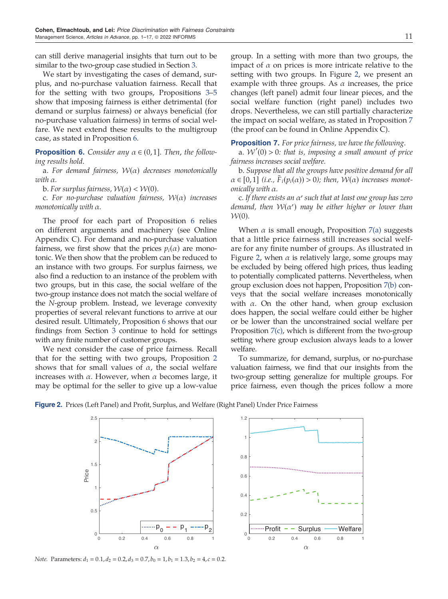can still derive managerial insights that turn out to be similar to the two-group case studied in Section 3.

We start by investigating the cases of demand, surplus, and no-purchase valuation fairness. Recall that for the setting with two groups, Propositions 3–5 show that imposing fairness is either detrimental (for demand or surplus fairness) or always beneficial (for no-purchase valuation fairness) in terms of social welfare. We next extend these results to the multigroup case, as stated in Proposition 6.

**Proposition 6.** Consider any  $\alpha \in (0,1]$ . Then, the following results hold.

a. For demand fairness,  $W(\alpha)$  decreases monotonically with α.

b. For surplus fairness,  $W(\alpha) < W(0)$ .

c. For no-purchase valuation fairness,  $W(\alpha)$  increases monotonically with α.

The proof for each part of Proposition 6 relies on different arguments and machinery (see Online Appendix C). For demand and no-purchase valuation fairness, we first show that the prices  $p_i(\alpha)$  are monotonic. We then show that the problem can be reduced to an instance with two groups. For surplus fairness, we also find a reduction to an instance of the problem with two groups, but in this case, the social welfare of the two-group instance does not match the social welfare of the N-group problem. Instead, we leverage convexity properties of several relevant functions to arrive at our desired result. Ultimately, Proposition 6 shows that our findings from Section 3 continue to hold for settings with any finite number of customer groups.

We next consider the case of price fairness. Recall that for the setting with two groups, Proposition 2 shows that for small values of  $\alpha$ , the social welfare increases with  $\alpha$ . However, when  $\alpha$  becomes large, it may be optimal for the seller to give up a low-value group. In a setting with more than two groups, the impact of  $\alpha$  on prices is more intricate relative to the setting with two groups. In Figure 2, we present an example with three groups. As  $\alpha$  increases, the price changes (left panel) admit four linear pieces, and the social welfare function (right panel) includes two drops. Nevertheless, we can still partially characterize the impact on social welfare, as stated in Proposition 7 (the proof can be found in Online Appendix C).

#### **Proposition 7.** For price fairness, we have the following.

a.  $W'(0) > 0$ : that is, imposing a small amount of price fairness increases social welfare.

b. Suppose that all the groups have positive demand for all  $\alpha \in [0,1]$  (i.e.,  $F_i(p_i(\alpha)) > 0$ ); then,  $\mathcal{W}(\alpha)$  increases monotonically with α.

c. If there exists an  $\alpha'$  such that at least one group has zero demand, then W(α ) may be either higher or lower than  $W(0)$ .

When  $\alpha$  is small enough, Proposition 7(a) suggests that a little price fairness still increases social welfare for any finite number of groups. As illustrated in Figure 2, when  $\alpha$  is relatively large, some groups may be excluded by being offered high prices, thus leading to potentially complicated patterns. Nevertheless, when group exclusion does not happen, Proposition 7(b) conveys that the social welfare increases monotonically with  $\alpha$ . On the other hand, when group exclusion does happen, the social welfare could either be higher or be lower than the unconstrained social welfare per Proposition 7(c), which is different from the two-group setting where group exclusion always leads to a lower welfare.

To summarize, for demand, surplus, or no-purchase valuation fairness, we find that our insights from the two-group setting generalize for multiple groups. For price fairness, even though the prices follow a more



Figure 2. Prices (Left Panel) and Profit, Surplus, and Welfare (Right Panel) Under Price Fairness

Note. Parameters:  $d_1 = 0.1$ ,  $d_2 = 0.2$ ,  $d_3 = 0.7$ ,  $b_0 = 1$ ,  $b_1 = 1.3$ ,  $b_2 = 4$ ,  $c = 0.2$ .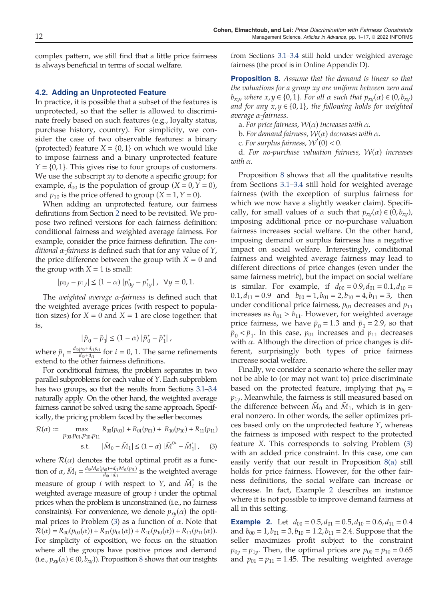complex pattern, we still find that a little price fairness is always beneficial in terms of social welfare.

#### 4.2. Adding an Unprotected Feature

In practice, it is possible that a subset of the features is unprotected, so that the seller is allowed to discriminate freely based on such features (e.g., loyalty status, purchase history, country). For simplicity, we consider the case of two observable features: a binary (protected) feature  $X = \{0, 1\}$  on which we would like to impose fairness and a binary unprotected feature  $Y = \{0, 1\}$ . This gives rise to four groups of customers. We use the subscript  $xy$  to denote a specific group; for example,  $d_{00}$  is the population of group  $(X = 0, Y = 0)$ , and  $p_{10}$  is the price offered to group (X = 1, Y = 0).

When adding an unprotected feature, our fairness definitions from Section 2 need to be revisited. We propose two refined versions for each fairness definition: conditional fairness and weighted average fairness. For example, consider the price fairness definition. The conditional  $\alpha$ -fairness is defined such that for any value of  $Y$ , the price difference between the group with  $X = 0$  and the group with  $X = 1$  is small:

$$
|p_{0y} - p_{1y}| \le (1 - \alpha) |p_{0y}^* - p_{1y}^*|, \ \forall y = 0, 1.
$$

The weighted average  $\alpha$ -fairness is defined such that the weighted average prices (with respect to population sizes) for  $X = 0$  and  $X = 1$  are close together: that is,

$$
|\bar{p}_0 - \bar{p}_1| \le (1 - \alpha) |\bar{p}_0^* - \bar{p}_1^*|,
$$

where  $\bar{p}_i = \frac{d_{i0}p_{i0} + d_{i1}p_{i1}}{d_{i0} + d_{i1}}$  for  $i = 0, 1$ . The same refinements extend to the other fairness definitions.

For conditional fairness, the problem separates in two parallel subproblems for each value of Y. Each subproblem has two groups, so that the results from Sections 3.1–3.4 naturally apply. On the other hand, the weighted average fairness cannot be solved using the same approach. Specifically, the pricing problem faced by the seller becomes

$$
\mathcal{R}(\alpha) := \max_{\substack{p_{00}, p_{01}, p_{10}, p_{11} \\ \text{s.t.} \quad |\bar{M}_0 - \bar{M}_1| \le (1 - \alpha) |\bar{M}^{0*} - \bar{M}_1^*|, \tag{3}}
$$

where  $\mathcal{R}(\alpha)$  denotes the total optimal profit as a function of  $\alpha$ ,  $\bar{M}_i = \frac{d_{i0}M_{i0}(p_{i0}) + d_{i1}M_{i1}(p_{i1})}{d_{i0} + d_{i1}}$  is the weighted average measure of group *i* with respect to *Y*, and  $\overline{M}_{i}^{*}$  is the weighted average measure of group  $i$  under the optimal prices when the problem is unconstrained (i.e., no fairness constraints). For convenience, we denote  $p_{xy}(\alpha)$  the optimal prices to Problem (3) as a function of  $\alpha$ . Note that  $R(\alpha) = R_{00}(p_{00}(\alpha)) + R_{01}(p_{01}(\alpha)) + R_{10}(p_{10}(\alpha)) + R_{11}(p_{11}(\alpha)).$ For simplicity of exposition, we focus on the situation where all the groups have positive prices and demand (i.e.,  $p_{xy}(\alpha) \in (0, b_{xy})$ ). Proposition 8 shows that our insights

from Sections 3.1–3.4 still hold under weighted average fairness (the proof is in Online Appendix D).

**Proposition 8.** Assume that the demand is linear so that the valuations for a group xy are uniform between zero and  $b_{xy}$ , where  $x, y \in \{0, 1\}$ . For all  $\alpha$  such that  $p_{xy}(\alpha) \in (0, b_{xy})$ and for any  $x, y \in \{0, 1\}$ , the following holds for weighted average α-fairness.

a. For price fairness,  $W(\alpha)$  increases with  $\alpha$ .

b. For demand fairness,  $W(\alpha)$  decreases with  $\alpha$ .

c. For surplus fairness,  $W'(0) < 0$ .

d. For no-purchase valuation fairness,  $W(\alpha)$  increases with α.

Proposition 8 shows that all the qualitative results from Sections 3.1–3.4 still hold for weighted average fairness (with the exception of surplus fairness for which we now have a slightly weaker claim). Specifically, for small values of  $\alpha$  such that  $p_{xy}(\alpha) \in (0, b_{xy})$ , imposing additional price or no-purchase valuation fairness increases social welfare. On the other hand, imposing demand or surplus fairness has a negative impact on social welfare. Interestingly, conditional fairness and weighted average fairness may lead to different directions of price changes (even under the same fairness metric), but the impact on social welfare is similar. For example, if  $d_{00} = 0.9, d_{01} = 0.1, d_{10} = 0.1$  $0.1, d_{11} = 0.9$  and  $b_{00} = 1, b_{01} = 2, b_{10} = 4, b_{11} = 3$ , then under conditional price fairness,  $p_{01}$  decreases and  $p_{11}$ increases as  $b_{01} > b_{11}$ . However, for weighted average price fairness, we have  $\bar{p}_0 = 1.3$  and  $\bar{p}_1 = 2.9$ , so that  $\bar{p}_0 < \bar{p}_1$ . In this case,  $p_{01}$  increases and  $p_{11}$  decreases with  $\alpha$ . Although the direction of price changes is different, surprisingly both types of price fairness increase social welfare.

Finally, we consider a scenario where the seller may not be able to (or may not want to) price discriminate based on the protected feature, implying that  $p_{0y} =$  $p_{1y}$ . Meanwhile, the fairness is still measured based on the difference between  $M_0$  and  $M_1$ , which is in general nonzero. In other words, the seller optimizes prices based only on the unprotected feature  $Y$ , whereas the fairness is imposed with respect to the protected feature X. This corresponds to solving Problem (3) with an added price constraint. In this case, one can easily verify that our result in Proposition 8(a) still holds for price fairness. However, for the other fairness definitions, the social welfare can increase or decrease. In fact, Example 2 describes an instance where it is not possible to improve demand fairness at all in this setting.

**Example 2.** Let  $d_{00} = 0.5, d_{01} = 0.5, d_{10} = 0.6, d_{11} = 0.4$ and  $b_{00} = 1$ ,  $b_{01} = 3$ ,  $b_{10} = 1.2$ ,  $b_{11} = 2.4$ . Suppose that the seller maximizes profit subject to the constraint  $p_{0y} = p_{1y}$ . Then, the optimal prices are  $p_{00} = p_{10} = 0.65$ and  $p_{01} = p_{11} = 1.45$ . The resulting weighted average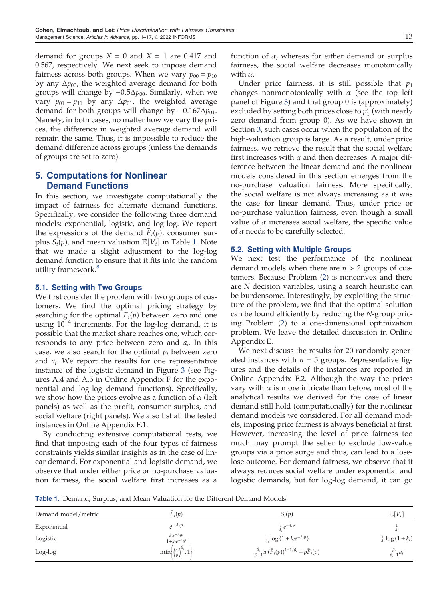demand for groups  $X = 0$  and  $X = 1$  are 0.417 and 0.567, respectively. We next seek to impose demand fairness across both groups. When we vary  $p_{00} = p_{10}$ by any  $\Delta p_{00}$ , the weighted average demand for both groups will change by  $-0.5\Delta p_{00}$ . Similarly, when we vary  $p_{01} = p_{11}$  by any  $\Delta p_{01}$ , the weighted average demand for both groups will change by  $-0.167\Delta p_{01}$ . Namely, in both cases, no matter how we vary the prices, the difference in weighted average demand will remain the same. Thus, it is impossible to reduce the demand difference across groups (unless the demands of groups are set to zero).

# 5. Computations for Nonlinear Demand Functions

In this section, we investigate computationally the impact of fairness for alternate demand functions. Specifically, we consider the following three demand models: exponential, logistic, and log-log. We report the expressions of the demand  $F_i(p)$ , consumer surplus  $S_i(p)$ , and mean valuation  $\mathbb{E}[V_i]$  in Table 1. Note that we made a slight adjustment to the log-log demand function to ensure that it fits into the random utility framework.<sup>8</sup>

# 5.1. Setting with Two Groups

We first consider the problem with two groups of customers. We find the optimal pricing strategy by searching for the optimal  $F_i(p)$  between zero and one using  $10^{-4}$  increments. For the log-log demand, it is possible that the market share reaches one, which corresponds to any price between zero and  $a_i$ . In this case, we also search for the optimal  $p_i$  between zero and  $a_i$ . We report the results for one representative instance of the logistic demand in Figure 3 (see Figures A.4 and A.5 in Online Appendix F for the exponential and log-log demand functions). Specifically, we show how the prices evolve as a function of  $\alpha$  (left panels) as well as the profit, consumer surplus, and social welfare (right panels). We also list all the tested instances in Online Appendix F.1.

By conducting extensive computational tests, we find that imposing each of the four types of fairness constraints yields similar insights as in the case of linear demand. For exponential and logistic demand, we observe that under either price or no-purchase valuation fairness, the social welfare first increases as a function of  $\alpha$ , whereas for either demand or surplus fairness, the social welfare decreases monotonically with  $\alpha$ .

Under price fairness, it is still possible that  $p_1$ changes nonmonotonically with  $\alpha$  (see the top left panel of Figure 3) and that group 0 is (approximately) excluded by setting both prices close to  $p_1^*$  (with nearly zero demand from group 0). As we have shown in Section 3, such cases occur when the population of the high-valuation group is large. As a result, under price fairness, we retrieve the result that the social welfare first increases with  $\alpha$  and then decreases. A major difference between the linear demand and the nonlinear models considered in this section emerges from the no-purchase valuation fairness. More specifically, the social welfare is not always increasing as it was the case for linear demand. Thus, under price or no-purchase valuation fairness, even though a small value of  $\alpha$  increases social welfare, the specific value of  $\alpha$  needs to be carefully selected.

## 5.2. Setting with Multiple Groups

We next test the performance of the nonlinear demand models when there are  $n > 2$  groups of customers. Because Problem (2) is nonconvex and there are N decision variables, using a search heuristic can be burdensome. Interestingly, by exploiting the structure of the problem, we find that the optimal solution can be found efficiently by reducing the N-group pricing Problem (2) to a one-dimensional optimization problem. We leave the detailed discussion in Online Appendix E.

We next discuss the results for 20 randomly generated instances with  $n = 5$  groups. Representative figures and the details of the instances are reported in Online Appendix F.2. Although the way the prices vary with  $\alpha$  is more intricate than before, most of the analytical results we derived for the case of linear demand still hold (computationally) for the nonlinear demand models we considered. For all demand models, imposing price fairness is always beneficial at first. However, increasing the level of price fairness too much may prompt the seller to exclude low-value groups via a price surge and thus, can lead to a loselose outcome. For demand fairness, we observe that it always reduces social welfare under exponential and logistic demands, but for log-log demand, it can go

Table 1. Demand, Surplus, and Mean Valuation for the Different Demand Models

| Demand model/metric | $\bar{F}_i(p)$                                               | $S_i(p)$                                                                        | $\mathbb{E}[V_i]$                               |
|---------------------|--------------------------------------------------------------|---------------------------------------------------------------------------------|-------------------------------------------------|
| Exponential         | $e^{-\lambda_i p}$                                           | $\frac{1}{\lambda}e^{-\lambda_i p}$                                             |                                                 |
| Logistic            | $\frac{k_i e^{-\lambda_i p}}{1+k_i e^{-\lambda_i p}}$        | $\frac{1}{\lambda_i} \log \left( 1 + k_i e^{-\lambda_i p} \right)$              | $\frac{1}{\lambda_i} \log \left(1 + k_i\right)$ |
| Log-log             | $\min\left\{\left(\frac{a_i}{p}\right)^{\beta_i}, 1\right\}$ | $\frac{\beta_i}{\beta_{i-1}} a_i (\bar{F}_i(p))^{1-1/\beta_i} - p \bar{F}_i(p)$ | $\frac{\beta_i}{\beta_i-1}a_i$                  |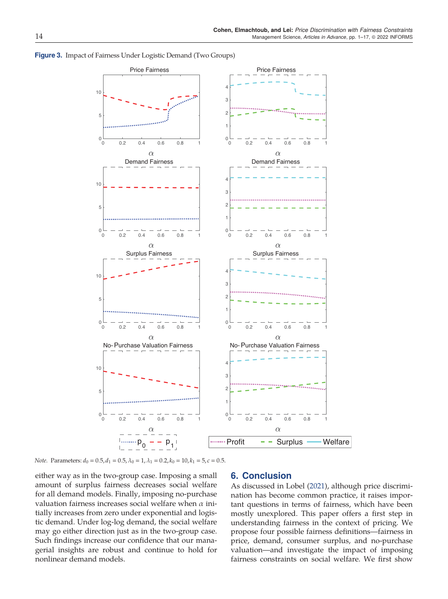

Figure 3. Impact of Fairness Under Logistic Demand (Two Groups)

Note. Parameters:  $d_0 = 0.5$ ,  $d_1 = 0.5$ ,  $\lambda_0 = 1$ ,  $\lambda_1 = 0.2$ ,  $k_0 = 10$ ,  $k_1 = 5$ ,  $c = 0.5$ .

either way as in the two-group case. Imposing a small amount of surplus fairness decreases social welfare for all demand models. Finally, imposing no-purchase valuation fairness increases social welfare when  $\alpha$  initially increases from zero under exponential and logistic demand. Under log-log demand, the social welfare may go either direction just as in the two-group case. Such findings increase our confidence that our managerial insights are robust and continue to hold for nonlinear demand models.

# 6. Conclusion

As discussed in Lobel (2021), although price discrimination has become common practice, it raises important questions in terms of fairness, which have been mostly unexplored. This paper offers a first step in understanding fairness in the context of pricing. We propose four possible fairness definitions—fairness in price, demand, consumer surplus, and no-purchase valuation—and investigate the impact of imposing fairness constraints on social welfare. We first show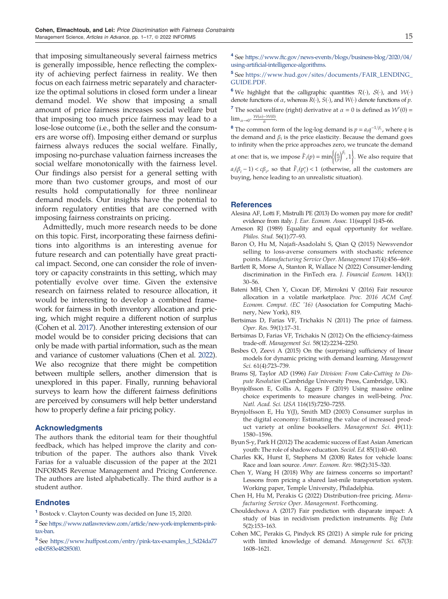that imposing simultaneously several fairness metrics is generally impossible, hence reflecting the complexity of achieving perfect fairness in reality. We then focus on each fairness metric separately and characterize the optimal solutions in closed form under a linear demand model. We show that imposing a small amount of price fairness increases social welfare but that imposing too much price fairness may lead to a lose-lose outcome (i.e., both the seller and the consumers are worse off). Imposing either demand or surplus fairness always reduces the social welfare. Finally, imposing no-purchase valuation fairness increases the social welfare monotonically with the fairness level. Our findings also persist for a general setting with more than two customer groups, and most of our results hold computationally for three nonlinear demand models. Our insights have the potential to inform regulatory entities that are concerned with imposing fairness constraints on pricing.

Admittedly, much more research needs to be done on this topic. First, incorporating these fairness definitions into algorithms is an interesting avenue for future research and can potentially have great practical impact. Second, one can consider the role of inventory or capacity constraints in this setting, which may potentially evolve over time. Given the extensive research on fairness related to resource allocation, it would be interesting to develop a combined framework for fairness in both inventory allocation and pricing, which might require a different notion of surplus (Cohen et al. 2017). Another interesting extension of our model would be to consider pricing decisions that can only be made with partial information, such as the mean and variance of customer valuations (Chen et al. 2022). We also recognize that there might be competition between multiple sellers, another dimension that is unexplored in this paper. Finally, running behavioral surveys to learn how the different fairness definitions are perceived by consumers will help better understand how to properly define a fair pricing policy.

#### Acknowledgments

The authors thank the editorial team for their thoughtful feedback, which has helped improve the clarity and contribution of the paper. The authors also thank Vivek Farias for a valuable discussion of the paper at the 2021 INFORMS Revenue Management and Pricing Conference. The authors are listed alphabetically. The third author is a student author.

# **Endnotes**

<sup>1</sup> Bostock v. Clayton County was decided on June 15, 2020.

- <sup>2</sup> See https://www.natlawreview.com/article/new-york-implements-pinktax-ban.
- <sup>3</sup> See https://www.huffpost.com/entry/pink-tax-examples\_l\_5d24da77 e4b0583e482850f0.

<sup>4</sup> See https://www.ftc.gov/news-events/blogs/business-blog/2020/04/ using-artificial-intelligence-algorithms.

<sup>5</sup> See https://www.hud.gov/sites/documents/FAIR\_LENDING\_ GUIDE.PDF.

<sup>6</sup> We highlight that the calligraphic quantities  $\mathcal{R}(\cdot)$ ,  $\mathcal{S}(\cdot)$ , and  $\mathcal{W}(\cdot)$ denote functions of  $\alpha$ , whereas  $R(\cdot)$ ,  $S(\cdot)$ , and  $W(\cdot)$  denote functions of  $p$ .

<sup>7</sup> The social welfare (right) derivative at  $\alpha = 0$  is defined as  $W'(0) =$  $\lim_{\alpha \to 0^+} \frac{\mathcal{W}(\alpha) - \mathcal{W}(0)}{\alpha}$ .

<sup>8</sup> The common form of the log-log demand is  $p = a_i q^{-1/\beta_i}$ , where q is the demand and  $\beta_i$  is the price elasticity. Because the demand goes to infinity when the price approaches zero, we truncate the demand at one: that is, we impose  $\bar{F}_i(p) = \min\left\{\left(\frac{a_i}{p}\right)^{\beta_i}, 1\right\}$ . We also require that

 $a_i(\beta_i - 1) < c\beta_i$ , so that  $\bar{F}_i(p_i^*) < 1$  (otherwise, all the customers are buying, hence leading to an unrealistic situation).

#### References

- Alesina AF, Lotti F, Mistrulli PE (2013) Do women pay more for credit? evidence from italy. J. Eur. Econom. Assoc. 11(suppl 1):45–66.
- Arneson RJ (1989) Equality and equal opportunity for welfare. Philos. Stud. 56(1):77–93.
- Baron O, Hu M, Najafi-Asadolahi S, Qian Q (2015) Newsvendor selling to loss-averse consumers with stochastic reference points. Manufacturing Service Oper. Management 17(4):456–469.
- Bartlett R, Morse A, Stanton R, Wallace N (2022) Consumer-lending discrimination in the FinTech era. J. Financial Econom. 143(1): 30–56.
- Bateni MH, Chen Y, Ciocan DF, Mirrokni V (2016) Fair resource allocation in a volatile marketplace. Proc. 2016 ACM Conf. Econom. Comput. (EC '16) (Association for Computing Machinery, New York), 819.
- Bertsimas D, Farias VF, Trichakis N (2011) The price of fairness. Oper. Res. 59(1):17–31.
- Bertsimas D, Farias VF, Trichakis N (2012) On the efficiency-fairness trade-off. Management Sci. 58(12):2234–2250.
- Besbes O, Zeevi A (2015) On the (surprising) sufficiency of linear models for dynamic pricing with demand learning. Management Sci. 61(4):723–739.
- Brams SJ, Taylor AD (1996) Fair Division: From Cake-Cutting to Dispute Resolution (Cambridge University Press, Cambridge, UK).
- Brynjolfsson E, Collis A, Eggers F (2019) Using massive online choice experiments to measure changes in well-being. Proc. Natl. Acad. Sci. USA 116(15):7250–7255.
- Brynjolfsson E, Hu Y(J), Smith MD (2003) Consumer surplus in the digital economy: Estimating the value of increased product variety at online booksellers. Management Sci. 49(11): 1580–1596.
- Byun S-y, Park H (2012) The academic success of East Asian American youth: The role of shadow education. Sociol. Ed. 85(1):40–60.
- Charles KK, Hurst E, Stephens M (2008) Rates for vehicle loans: Race and loan source. Amer. Econom. Rev. 98(2):315-320.
- Chen Y, Wang H (2018) Why are fairness concerns so important? Lessons from pricing a shared last-mile transportation system. Working paper, Temple University, Philadelphia.
- Chen H, Hu M, Perakis G (2022) Distribution-free pricing. Manufacturing Service Oper. Management. Forthcoming.
- Chouldechova A (2017) Fair prediction with disparate impact: A study of bias in recidivism prediction instruments. Big Data 5(2):153–163.
- Cohen MC, Perakis G, Pindyck RS (2021) A simple rule for pricing with limited knowledge of demand. Management Sci. 67(3): 1608–1621.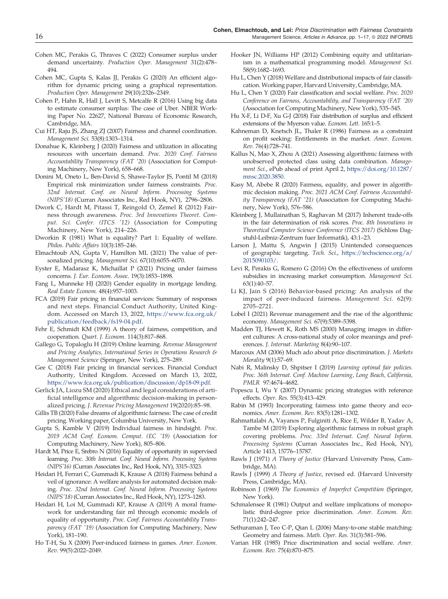- Cohen MC, Perakis G, Thraves C (2022) Consumer surplus under demand uncertainty. Production Oper. Management 31(2):478– 494.
- Cohen MC, Gupta S, Kalas JJ, Perakis G (2020) An efficient algorithm for dynamic pricing using a graphical representation. Production Oper. Management 29(10):2326–2349.
- Cohen P, Hahn R, Hall J, Levitt S, Metcalfe R (2016) Using big data to estimate consumer surplus: The case of Uber. NBER Working Paper No. 22627, National Bureau of Economic Research, Cambridge, MA.
- Cui HT, Raju JS, Zhang ZJ (2007) Fairness and channel coordination. Management Sci. 53(8):1303–1314.
- Donahue K, Kleinberg J (2020) Fairness and utilization in allocating resources with uncertain demand. Proc. 2020 Conf. Fairness Accountability Transparency (FAT '20) (Association for Computing Machinery, New York), 658–668.
- Donini M, Oneto L, Ben-David S, Shawe-Taylor JS, Pontil M (2018) Empirical risk minimization under fairness constraints. Proc. 32nd Internat. Conf. on Neural Inform. Processing Systems (NIPS'18) (Curran Associates Inc., Red Hook, NY), 2796–2806.
- Dwork C, Hardt M, Pitassi T, Reingold O, Zemel R (2012) Fairness through awareness. Proc. 3rd Innovations Theoret. Comput. Sci. Confer. (ITCS '12) (Association for Computing Machinery, New York), 214–226.
- Dworkin R (1981) What is equality? Part 1: Equality of welfare. Philos. Public Affairs 10(3):185–246.
- Elmachtoub AN, Gupta V, Hamilton ML (2021) The value of personalized pricing. Management Sci. 67(10):6055–6070.
- Eyster E, Madarasz K, Michaillat P (2021) Pricing under fairness concerns. J. Eur. Econom. Assoc. 19(3):1853–1898.
- Fang L, Munneke HJ (2020) Gender equality in mortgage lending. Real Estate Econom. 48(4):957–1003.
- FCA (2019) Fair pricing in financial services: Summary of responses and next steps. Financial Conduct Authority, United Kingdom. Accessed on March 13, 2022, https://www.fca.org.uk/ publication/feedback/fs19-04.pdf.
- Fehr E, Schmidt KM (1999) A theory of fairness, competition, and cooperation. Quart. J. Econom. 114(3):817–868.
- Gallego G, Topaloglu H (2019) Online learning. Revenue Management and Pricing Analytics, International Series in Operations Research & Management Science (Springer, New York), 275–289.
- Gee C (2018) Fair pricing in financial services. Financial Conduct Authority, United Kingdom. Accessed on March 13, 2022, https://www.fca.org.uk/publication/discussion/dp18-09.pdf.
- Gerlick JA, Liozu SM (2020) Ethical and legal considerations of artificial intelligence and algorithmic decision-making in personalized pricing. J. Revenue Pricing Management 19(2020):85–98.
- Gillis TB (2020) False dreams of algorithmic fairness: The case of credit pricing. Working paper, Columbia University, New York.
- Gupta S, Kamble V (2019) Individual fairness in hindsight. Proc. 2019 ACM Conf. Econom. Comput. (EC '19) (Association for Computing Machinery, New York), 805–806.
- Hardt M, Price E, Srebro N (2016) Equality of opportunity in supervised learning. Proc. 30th Internat. Conf. Neural Inform. Processing Systems (NIPS'16) (Curran Associates Inc., Red Hook, NY), 3315–3323.
- Heidari H, Ferrari C, Gummadi K, Krause A (2018) Fairness behind a veil of ignorance: A welfare analysis for automated decision making. Proc. 32nd Internat. Conf. Neural Inform. Processing Systems (NIPS'18) (Curran Associates Inc., Red Hook, NY), 1273–1283.
- Heidari H, Loi M, Gummadi KP, Krause A (2019) A moral framework for understanding fair ml through economic models of equality of opportunity. Proc. Conf. Fairness Accountability Transparency (FAT '19) (Association for Computing Machinery, New York), 181–190.
- Ho T-H, Su X (2009) Peer-induced fairness in games. Amer. Econom. Rev. 99(5):2022–2049.
- Hooker JN, Williams HP (2012) Combining equity and utilitarianism in a mathematical programming model. Management Sci. 58(9):1682–1693.
- Hu L, Chen Y (2018) Welfare and distributional impacts of fair classification. Working paper, Harvard University, Cambridge, MA.
- Hu L, Chen Y (2020) Fair classification and social welfare. Proc. 2020 Conference on Fairness, Accountability, and Transparency (FAT '20) (Association for Computing Machinery, New York), 535–545.
- Hu X-F, Li D-F, Xu G-J (2018) Fair distribution of surplus and efficient extensions of the Myerson value. Econom. Lett. 165:1–5.
- Kahneman D, Knetsch JL, Thaler R (1986) Fairness as a constraint on profit seeking: Entitlements in the market. Amer. Econom. Rev. 76(4):728–741.
- Kallus N, Mao X, Zhou A (2021) Assessing algorithmic fairness with unobserved protected class using data combination. Management Sci., ePub ahead of print April 2, https://doi.org/10.1287/ mnsc.2020.3850.
- Kasy M, Abebe R (2020) Fairness, equality, and power in algorithmic decision making. Proc. 2021 ACM Conf. Fairness Accountability Transparency (FAT '21) (Association for Computing Machinery, New York), 576–586.
- Kleinberg J, Mullainathan S, Raghavan M (2017) Inherent trade-offs in the fair determination of risk scores. Proc. 8th Innovations in Theoretical Computer Science Conference (ITCS 2017) (Schloss Dagstuhl-Leibniz-Zentrum fuer Informatik), 43:1–23.
- Larson J, Mattu S, Angwin J (2015) Unintended consequences of geographic targeting. Tech. Sci., https://techscience.org/a/ 2015090103/.
- Levi R, Perakis G, Romero G (2016) On the effectiveness of uniform subsidies in increasing market consumption. Management Sci. 63(1):40–57.
- Li KJ, Jain S (2016) Behavior-based pricing: An analysis of the impact of peer-induced fairness. Management Sci. 62(9): 2705–2721.
- Lobel I (2021) Revenue management and the rise of the algorithmic economy. Management Sci. 67(9):5389–5398.
- Madden TJ, Hewett K, Roth MS (2000) Managing images in different cultures: A cross-national study of color meanings and preferences. J. Internat. Marketing 8(4):90–107.
- Marcoux AM (2006) Much ado about price discrimination. J. Markets Morality 9(1):57–69.
- Nabi R, Malinsky D, Shpitser I (2019) Learning optimal fair policies. Proc. 36th Internat. Conf. Machine Learning, Long Beach, California, PMLR 97:4674–4682.
- Popescu I, Wu Y (2007) Dynamic pricing strategies with reference effects. Oper. Res. 55(3):413–429.
- Rabin M (1993) Incorporating fairness into game theory and economics. Amer. Econom. Rev. 83(5):1281–1302.
- Rahmattalabi A, Vayanos P, Fulginiti A, Rice E, Wilder B, Yadav A, Tambe M (2019) Exploring algorithmic fairness in robust graph covering problems. Proc. 33rd Internat. Conf. Neural Inform. Processing Systems (Curran Associates Inc., Red Hook, NY), Article 1413, 15776–15787.
- Rawls J (1971) A Theory of Justice (Harvard University Press, Cambridge, MA).
- Rawls J (1999) A Theory of Justice, revised ed. (Harvard University Press, Cambridge, MA).
- Robinson J (1969) The Economics of Imperfect Competition (Springer, New York).
- Schmalensee R (1981) Output and welfare implications of monopolistic third-degree price discrimination. Amer. Econom. Rev. 71(1):242–247.
- Sethuraman J, Teo C-P, Qian L (2006) Many-to-one stable matching: Geometry and fairness. Math. Oper. Res. 31(3):581–596.
- Varian HR (1985) Price discrimination and social welfare. Amer. Econom. Rev. 75(4):870–875.